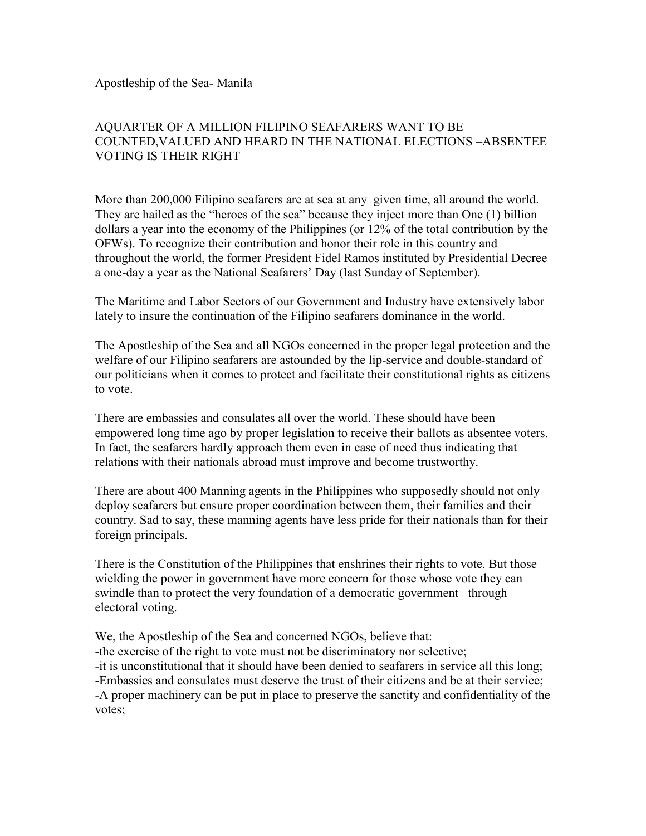Apostleship of the Sea- Manila

## AQUARTER OF A MILLION FILIPINO SEAFARERS WANT TO BE COUNTED,VALUED AND HEARD IN THE NATIONAL ELECTIONS –ABSENTEE VOTING IS THEIR RIGHT

More than 200,000 Filipino seafarers are at sea at any given time, all around the world. They are hailed as the "heroes of the sea" because they inject more than One (1) billion dollars a year into the economy of the Philippines (or 12% of the total contribution by the OFWs). To recognize their contribution and honor their role in this country and throughout the world, the former President Fidel Ramos instituted by Presidential Decree a one-day a year as the National Seafarers' Day (last Sunday of September).

The Maritime and Labor Sectors of our Government and Industry have extensively labor lately to insure the continuation of the Filipino seafarers dominance in the world.

The Apostleship of the Sea and all NGOs concerned in the proper legal protection and the welfare of our Filipino seafarers are astounded by the lip-service and double-standard of our politicians when it comes to protect and facilitate their constitutional rights as citizens to vote.

There are embassies and consulates all over the world. These should have been empowered long time ago by proper legislation to receive their ballots as absentee voters. In fact, the seafarers hardly approach them even in case of need thus indicating that relations with their nationals abroad must improve and become trustworthy.

There are about 400 Manning agents in the Philippines who supposedly should not only deploy seafarers but ensure proper coordination between them, their families and their country. Sad to say, these manning agents have less pride for their nationals than for their foreign principals.

There is the Constitution of the Philippines that enshrines their rights to vote. But those wielding the power in government have more concern for those whose vote they can swindle than to protect the very foundation of a democratic government –through electoral voting.

We, the Apostleship of the Sea and concerned NGOs, believe that: -the exercise of the right to vote must not be discriminatory nor selective; -it is unconstitutional that it should have been denied to seafarers in service all this long; -Embassies and consulates must deserve the trust of their citizens and be at their service; -A proper machinery can be put in place to preserve the sanctity and confidentiality of the votes;